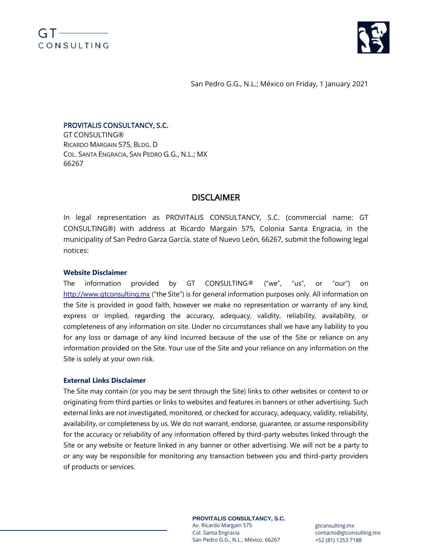



San Pedro G.G., N.L.; México on Friday, 1 January 2021

## PROVITALIS CONSULTANCY, S.C.

GT CONSULTING® RICARDO MARGAIN 575, BLDG. D COL. SANTA ENGRACIA, SAN PEDRO G.G., N.L.; MX 66267

# **DISCLAIMER**

In legal representation as PROVITALIS CONSULTANCY, S.C. (commercial name: GT CONSULTING®) with address at Ricardo Margain 575, Colonia Santa Engracia, in the municipality of San Pedro Garza García, state of Nuevo León, 66267, submit the following legal notices:

#### **Website Disclaimer**

The information provided by GT CONSULTING® ("we", "us", or "our") on [http://www.gtconsulting.mx](http://www.gtconsulting.mx/) ("the Site") is for general information purposes only. All information on the Site is provided in good faith, however we make no representation or warranty of any kind, express or implied, regarding the accuracy, adequacy, validity, reliability, availability, or completeness of any information on site. Under no circumstances shall we have any liability to you for any loss or damage of any kind incurred because of the use of the Site or reliance on any information provided on the Site. Your use of the Site and your reliance on any information on the Site is solely at your own risk.

#### **External Links Disclaimer**

The Site may contain (or you may be sent through the Site) links to other websites or content to or originating from third parties or links to websites and features in banners or other advertising. Such external links are not investigated, monitored, or checked for accuracy, adequacy, validity, reliability, availability, or completeness by us. We do not warrant, endorse, guarantee, or assume responsibility for the accuracy or reliability of any information offered by third-party websites linked through the Site or any website or feature linked in any banner or other advertising. We will not be a party to or any way be responsible for monitoring any transaction between you and third-party providers of products or services.

> **PROVITALIS CONSULTANCY, S.C.** Av. Ricardo Margain 575 Col. Santa Engracia San Pedro G.G., N.L.; México. 66267

gtconsulting.mx contacto@gtconsulting.mx +52 (81) 1253 7188